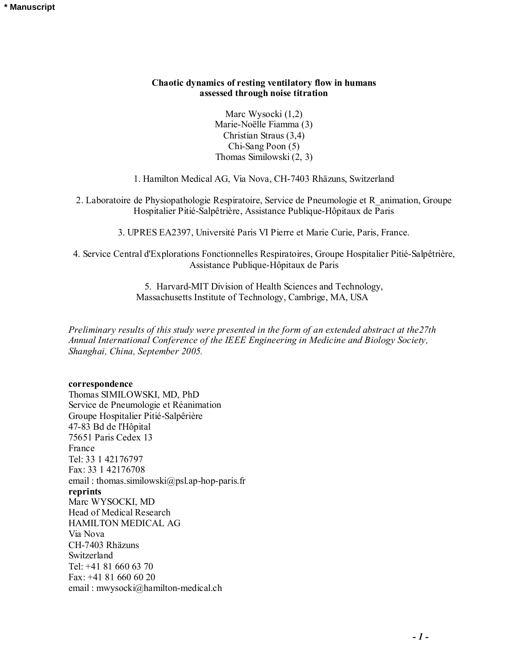## **Chaotic dynamics of resting ventilatory flow in humans assessed through noise titration**

Marc Wysocki (1,2) Marie-Noëlle Fiamma (3) Christian Straus (3,4) Chi-Sang Poon (5) Thomas Similowski (2, 3)

1. Hamilton Medical AG, Via Nova, CH-7403 Rhäzuns, Switzerland

2. Laboratoire de Physiopathologie Respiratoire, Service de Pneumologie et R\_animation, Groupe Hospitalier Pitié-Salpêtrière, Assistance Publique-Hôpitaux de Paris

3. UPRES EA2397, Université Paris VI Pierre et Marie Curie, Paris, France.

4. Service Central d'Explorations Fonctionnelles Respiratoires, Groupe Hospitalier Pitié-Salpêtrière, Assistance Publique-Hôpitaux de Paris

> 5. Harvard-MIT Division of Health Sciences and Technology, Massachusetts Institute of Technology, Cambrige, MA, USA

*Preliminary results of this study were presented in the form of an extended abstract at the27th Annual International Conference of the IEEE Engineering in Medicine and Biology Society, Shanghai, China, September 2005.* 

#### **correspondence**

Thomas SIMILOWSKI, MD, PhD Service de Pneumologie et Réanimation Groupe Hospitalier Pitié-Salpêrière 47-83 Bd de l'Hôpital 75651 Paris Cedex 13 France Tel: 33 1 42176797 Fax: 33 1 42176708 email : thomas.similowski@psl.ap-hop-paris.fr **reprints**  Marc WYSOCKI, MD Head of Medical Research HAMILTON MEDICAL AG Via Nova CH-7403 Rhäzuns Switzerland Tel: +41 81 660 63 70 Fax: +41 81 660 60 20 email : mwysocki@hamilton-medical.ch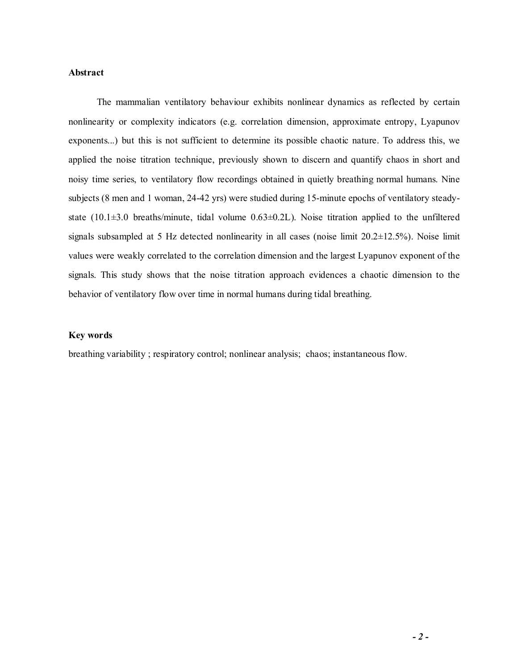# **Abstract**

The mammalian ventilatory behaviour exhibits nonlinear dynamics as reflected by certain nonlinearity or complexity indicators (e.g. correlation dimension, approximate entropy, Lyapunov exponents...) but this is not sufficient to determine its possible chaotic nature. To address this, we applied the noise titration technique, previously shown to discern and quantify chaos in short and noisy time series, to ventilatory flow recordings obtained in quietly breathing normal humans. Nine subjects (8 men and 1 woman, 24-42 yrs) were studied during 15-minute epochs of ventilatory steadystate (10.1 $\pm$ 3.0 breaths/minute, tidal volume 0.63 $\pm$ 0.2L). Noise titration applied to the unfiltered signals subsampled at 5 Hz detected nonlinearity in all cases (noise limit 20.2±12.5%). Noise limit values were weakly correlated to the correlation dimension and the largest Lyapunov exponent of the signals. This study shows that the noise titration approach evidences a chaotic dimension to the behavior of ventilatory flow over time in normal humans during tidal breathing.

## **Key words**

breathing variability ; respiratory control; nonlinear analysis; chaos; instantaneous flow.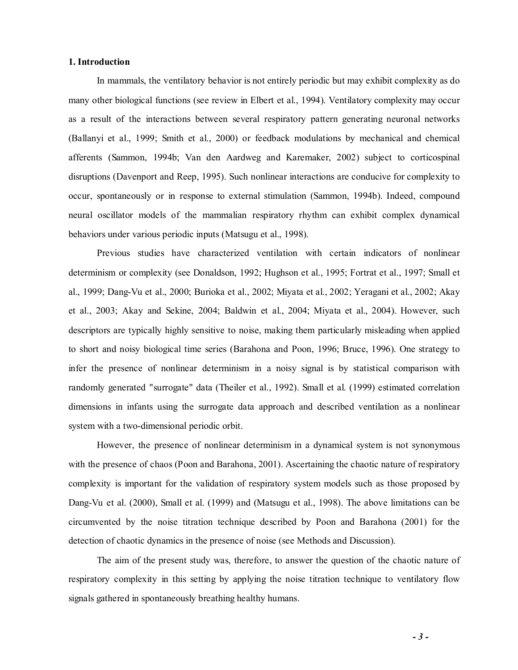### **1. Introduction**

 In mammals, the ventilatory behavior is not entirely periodic but may exhibit complexity as do many other biological functions (see review in Elbert et al., 1994). Ventilatory complexity may occur as a result of the interactions between several respiratory pattern generating neuronal networks (Ballanyi et al., 1999; Smith et al., 2000) or feedback modulations by mechanical and chemical afferents (Sammon, 1994b; Van den Aardweg and Karemaker, 2002) subject to corticospinal disruptions (Davenport and Reep, 1995). Such nonlinear interactions are conducive for complexity to occur, spontaneously or in response to external stimulation (Sammon, 1994b). Indeed, compound neural oscillator models of the mammalian respiratory rhythm can exhibit complex dynamical behaviors under various periodic inputs (Matsugu et al., 1998).

 Previous studies have characterized ventilation with certain indicators of nonlinear determinism or complexity (see Donaldson, 1992; Hughson et al., 1995; Fortrat et al., 1997; Small et al., 1999; Dang-Vu et al., 2000; Burioka et al., 2002; Miyata et al., 2002; Yeragani et al., 2002; Akay et al., 2003; Akay and Sekine, 2004; Baldwin et al., 2004; Miyata et al., 2004). However, such descriptors are typically highly sensitive to noise, making them particularly misleading when applied to short and noisy biological time series (Barahona and Poon, 1996; Bruce, 1996). One strategy to infer the presence of nonlinear determinism in a noisy signal is by statistical comparison with randomly generated "surrogate" data (Theiler et al., 1992). Small et al. (1999) estimated correlation dimensions in infants using the surrogate data approach and described ventilation as a nonlinear system with a two-dimensional periodic orbit.

 However, the presence of nonlinear determinism in a dynamical system is not synonymous with the presence of chaos (Poon and Barahona, 2001). Ascertaining the chaotic nature of respiratory complexity is important for the validation of respiratory system models such as those proposed by Dang-Vu et al. (2000), Small et al. (1999) and (Matsugu et al., 1998). The above limitations can be circumvented by the noise titration technique described by Poon and Barahona (2001) for the detection of chaotic dynamics in the presence of noise (see Methods and Discussion).

The aim of the present study was, therefore, to answer the question of the chaotic nature of respiratory complexity in this setting by applying the noise titration technique to ventilatory flow signals gathered in spontaneously breathing healthy humans.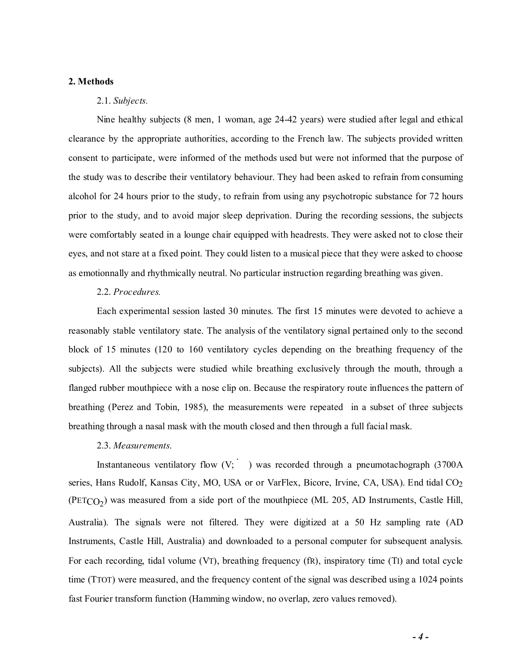## **2. Methods**

# 2.1. *Subjects.*

Nine healthy subjects (8 men, 1 woman, age 24-42 years) were studied after legal and ethical clearance by the appropriate authorities, according to the French law. The subjects provided written consent to participate, were informed of the methods used but were not informed that the purpose of the study was to describe their ventilatory behaviour. They had been asked to refrain from consuming alcohol for 24 hours prior to the study, to refrain from using any psychotropic substance for 72 hours prior to the study, and to avoid major sleep deprivation. During the recording sessions, the subjects were comfortably seated in a lounge chair equipped with headrests. They were asked not to close their eyes, and not stare at a fixed point. They could listen to a musical piece that they were asked to choose as emotionnally and rhythmically neutral. No particular instruction regarding breathing was given.

### 2.2. *Procedures.*

 Each experimental session lasted 30 minutes. The first 15 minutes were devoted to achieve a reasonably stable ventilatory state. The analysis of the ventilatory signal pertained only to the second block of 15 minutes (120 to 160 ventilatory cycles depending on the breathing frequency of the subjects). All the subjects were studied while breathing exclusively through the mouth, through a flanged rubber mouthpiece with a nose clip on. Because the respiratory route influences the pattern of breathing (Perez and Tobin, 1985), the measurements were repeated in a subset of three subjects breathing through a nasal mask with the mouth closed and then through a full facial mask.

#### 2.3. *Measurements*.

Instantaneous ventilatory flow  $(V; )$  was recorded through a pneumotachograph (3700A) series, Hans Rudolf, Kansas City, MO, USA or or VarFlex, Bicore, Irvine, CA, USA). End tidal CO<sub>2</sub>  $(PETCO<sub>2</sub>)$  was measured from a side port of the mouthpiece (ML 205, AD Instruments, Castle Hill, Australia). The signals were not filtered. They were digitized at a 50 Hz sampling rate (AD Instruments, Castle Hill, Australia) and downloaded to a personal computer for subsequent analysis. For each recording, tidal volume (VT), breathing frequency (fR), inspiratory time (TI) and total cycle time (TTOT) were measured, and the frequency content of the signal was described using a 1024 points fast Fourier transform function (Hamming window, no overlap, zero values removed).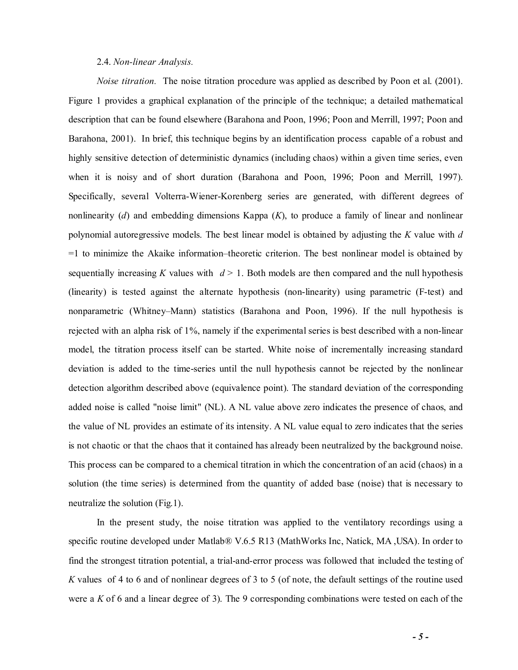### 2.4. *Non-linear Analysis.*

*Noise titration.* The noise titration procedure was applied as described by Poon et al. (2001). Figure 1 provides a graphical explanation of the principle of the technique; a detailed mathematical description that can be found elsewhere (Barahona and Poon, 1996; Poon and Merrill, 1997; Poon and Barahona, 2001). In brief, this technique begins by an identification process capable of a robust and highly sensitive detection of deterministic dynamics (including chaos) within a given time series, even when it is noisy and of short duration (Barahona and Poon, 1996; Poon and Merrill, 1997). Specifically, several Volterra-Wiener-Korenberg series are generated, with different degrees of nonlinearity (*d*) and embedding dimensions Kappa (*K*), to produce a family of linear and nonlinear polynomial autoregressive models. The best linear model is obtained by adjusting the *K* value with *d*  =1 to minimize the Akaike information–theoretic criterion. The best nonlinear model is obtained by sequentially increasing *K* values with  $d > 1$ . Both models are then compared and the null hypothesis (linearity) is tested against the alternate hypothesis (non-linearity) using parametric (F-test) and nonparametric (Whitney–Mann) statistics (Barahona and Poon, 1996). If the null hypothesis is rejected with an alpha risk of 1%, namely if the experimental series is best described with a non-linear model, the titration process itself can be started. White noise of incrementally increasing standard deviation is added to the time-series until the null hypothesis cannot be rejected by the nonlinear detection algorithm described above (equivalence point). The standard deviation of the corresponding added noise is called "noise limit" (NL). A NL value above zero indicates the presence of chaos, and the value of NL provides an estimate of its intensity. A NL value equal to zero indicates that the series is not chaotic or that the chaos that it contained has already been neutralized by the background noise. This process can be compared to a chemical titration in which the concentration of an acid (chaos) in a solution (the time series) is determined from the quantity of added base (noise) that is necessary to neutralize the solution (Fig.1).

 In the present study, the noise titration was applied to the ventilatory recordings using a specific routine developed under Matlab® V.6.5 R13 (MathWorks Inc, Natick, MA ,USA). In order to find the strongest titration potential, a trial-and-error process was followed that included the testing of *K* values of 4 to 6 and of nonlinear degrees of 3 to 5 (of note, the default settings of the routine used were a *K* of 6 and a linear degree of 3). The 9 corresponding combinations were tested on each of the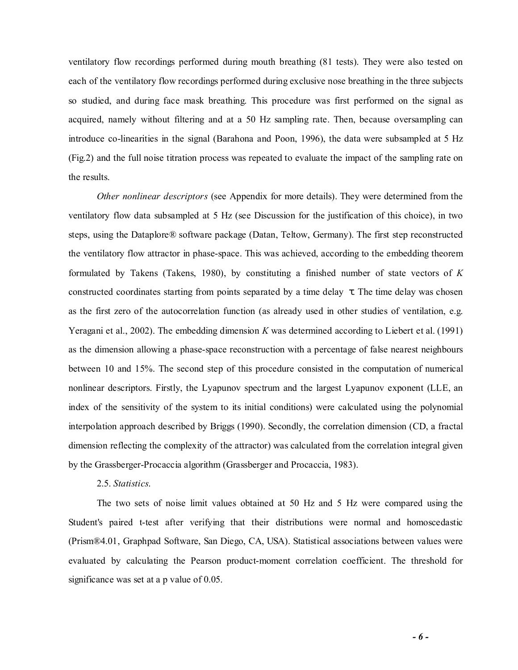ventilatory flow recordings performed during mouth breathing (81 tests). They were also tested on each of the ventilatory flow recordings performed during exclusive nose breathing in the three subjects so studied, and during face mask breathing. This procedure was first performed on the signal as acquired, namely without filtering and at a 50 Hz sampling rate. Then, because oversampling can introduce co-linearities in the signal (Barahona and Poon, 1996), the data were subsampled at 5 Hz (Fig.2) and the full noise titration process was repeated to evaluate the impact of the sampling rate on the results.

*Other nonlinear descriptors* (see Appendix for more details). They were determined from the ventilatory flow data subsampled at 5 Hz (see Discussion for the justification of this choice), in two steps, using the Dataplore® software package (Datan, Teltow, Germany). The first step reconstructed the ventilatory flow attractor in phase-space. This was achieved, according to the embedding theorem formulated by Takens (Takens, 1980), by constituting a finished number of state vectors of *K* constructed coordinates starting from points separated by a time delay  $\tau$ . The time delay was chosen as the first zero of the autocorrelation function (as already used in other studies of ventilation, e.g. Yeragani et al., 2002). The embedding dimension *K* was determined according to Liebert et al. (1991) as the dimension allowing a phase-space reconstruction with a percentage of false nearest neighbours between 10 and 15%. The second step of this procedure consisted in the computation of numerical nonlinear descriptors. Firstly, the Lyapunov spectrum and the largest Lyapunov exponent (LLE, an index of the sensitivity of the system to its initial conditions) were calculated using the polynomial interpolation approach described by Briggs (1990). Secondly, the correlation dimension (CD, a fractal dimension reflecting the complexity of the attractor) was calculated from the correlation integral given by the Grassberger-Procaccia algorithm (Grassberger and Procaccia, 1983).

## 2.5. *Statistics*.

 The two sets of noise limit values obtained at 50 Hz and 5 Hz were compared using the Student's paired t-test after verifying that their distributions were normal and homoscedastic (Prism®4.01, Graphpad Software, San Diego, CA, USA). Statistical associations between values were evaluated by calculating the Pearson product-moment correlation coefficient. The threshold for significance was set at a p value of 0.05.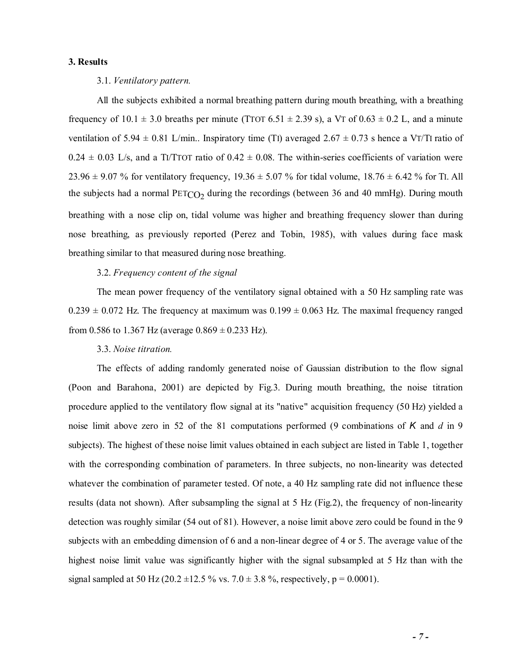### **3. Results**

#### 3.1. *Ventilatory pattern.*

All the subjects exhibited a normal breathing pattern during mouth breathing, with a breathing frequency of  $10.1 \pm 3.0$  breaths per minute (TTOT 6.51  $\pm$  2.39 s), a VT of  $0.63 \pm 0.2$  L, and a minute ventilation of 5.94  $\pm$  0.81 L/min.. Inspiratory time (T1) averaged 2.67  $\pm$  0.73 s hence a VT/TI ratio of  $0.24 \pm 0.03$  L/s, and a TI/TTOT ratio of  $0.42 \pm 0.08$ . The within-series coefficients of variation were 23.96  $\pm$  9.07 % for ventilatory frequency, 19.36  $\pm$  5.07 % for tidal volume, 18.76  $\pm$  6.42 % for TI. All the subjects had a normal  $PETCO<sub>2</sub>$  during the recordings (between 36 and 40 mmHg). During mouth breathing with a nose clip on, tidal volume was higher and breathing frequency slower than during nose breathing, as previously reported (Perez and Tobin, 1985), with values during face mask breathing similar to that measured during nose breathing.

#### 3.2. *Frequency content of the signal*

 The mean power frequency of the ventilatory signal obtained with a 50 Hz sampling rate was  $0.239 \pm 0.072$  Hz. The frequency at maximum was  $0.199 \pm 0.063$  Hz. The maximal frequency ranged from 0.586 to 1.367 Hz (average  $0.869 \pm 0.233$  Hz).

### 3.3. *Noise titration.*

 The effects of adding randomly generated noise of Gaussian distribution to the flow signal (Poon and Barahona, 2001) are depicted by Fig.3. During mouth breathing, the noise titration procedure applied to the ventilatory flow signal at its "native" acquisition frequency (50 Hz) yielded a noise limit above zero in 52 of the 81 computations performed (9 combinations of *K* and *d* in 9 subjects). The highest of these noise limit values obtained in each subject are listed in Table 1, together with the corresponding combination of parameters. In three subjects, no non-linearity was detected whatever the combination of parameter tested. Of note, a 40 Hz sampling rate did not influence these results (data not shown). After subsampling the signal at 5 Hz (Fig.2), the frequency of non-linearity detection was roughly similar (54 out of 81). However, a noise limit above zero could be found in the 9 subjects with an embedding dimension of 6 and a non-linear degree of 4 or 5. The average value of the highest noise limit value was significantly higher with the signal subsampled at 5 Hz than with the signal sampled at 50 Hz (20.2  $\pm$ 12.5 % vs. 7.0  $\pm$  3.8 %, respectively, p = 0.0001).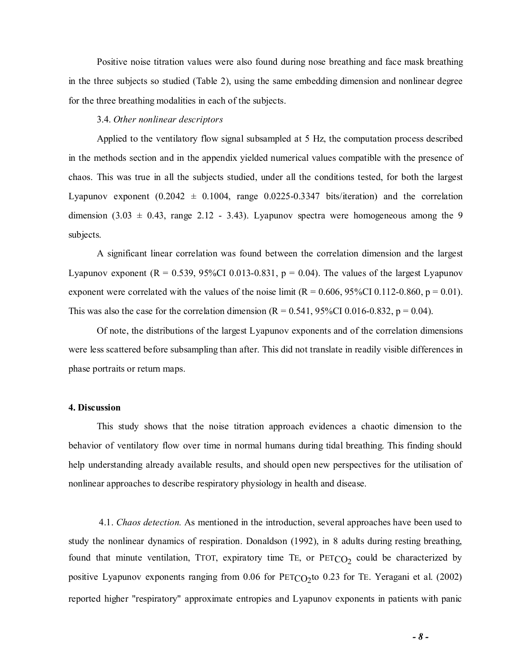Positive noise titration values were also found during nose breathing and face mask breathing in the three subjects so studied (Table 2), using the same embedding dimension and nonlinear degree for the three breathing modalities in each of the subjects.

### 3.4. *Other nonlinear descriptors*

 Applied to the ventilatory flow signal subsampled at 5 Hz, the computation process described in the methods section and in the appendix yielded numerical values compatible with the presence of chaos. This was true in all the subjects studied, under all the conditions tested, for both the largest Lyapunov exponent  $(0.2042 \pm 0.1004)$ , range  $0.0225$ -0.3347 bits/iteration) and the correlation dimension  $(3.03 \pm 0.43, \text{ range } 2.12 - 3.43)$ . Lyapunov spectra were homogeneous among the 9 subjects.

 A significant linear correlation was found between the correlation dimension and the largest Lyapunov exponent  $(R = 0.539, 95\% CI\ 0.013-0.831, p = 0.04)$ . The values of the largest Lyapunov exponent were correlated with the values of the noise limit  $(R = 0.606, 95\% \text{CI } 0.112 - 0.860, p = 0.01)$ . This was also the case for the correlation dimension ( $R = 0.541$ , 95%CI 0.016-0.832, p = 0.04).

 Of note, the distributions of the largest Lyapunov exponents and of the correlation dimensions were less scattered before subsampling than after. This did not translate in readily visible differences in phase portraits or return maps.

#### **4. Discussion**

 This study shows that the noise titration approach evidences a chaotic dimension to the behavior of ventilatory flow over time in normal humans during tidal breathing. This finding should help understanding already available results, and should open new perspectives for the utilisation of nonlinear approaches to describe respiratory physiology in health and disease.

 4.1. *Chaos detection.* As mentioned in the introduction, several approaches have been used to study the nonlinear dynamics of respiration. Donaldson (1992), in 8 adults during resting breathing, found that minute ventilation, TTOT, expiratory time TE, or  $PETCO<sub>2</sub>$  could be characterized by positive Lyapunov exponents ranging from  $0.06$  for PETCO<sub>2</sub>to  $0.23$  for TE. Yeragani et al. (2002) reported higher "respiratory" approximate entropies and Lyapunov exponents in patients with panic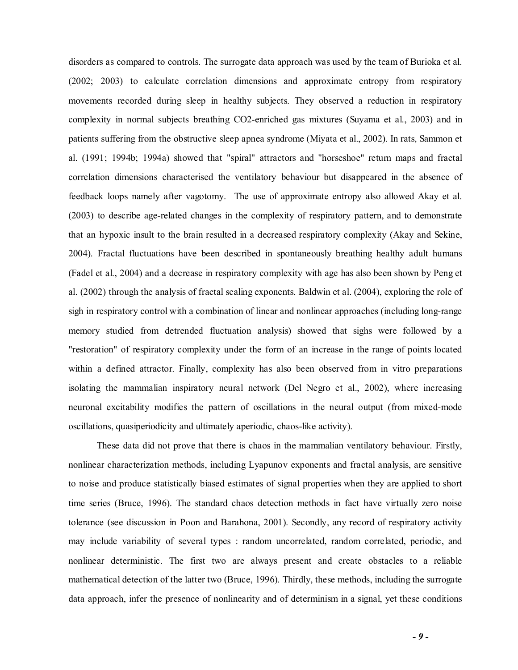disorders as compared to controls. The surrogate data approach was used by the team of Burioka et al. (2002; 2003) to calculate correlation dimensions and approximate entropy from respiratory movements recorded during sleep in healthy subjects. They observed a reduction in respiratory complexity in normal subjects breathing CO2-enriched gas mixtures (Suyama et al., 2003) and in patients suffering from the obstructive sleep apnea syndrome (Miyata et al., 2002). In rats, Sammon et al. (1991; 1994b; 1994a) showed that "spiral" attractors and "horseshoe" return maps and fractal correlation dimensions characterised the ventilatory behaviour but disappeared in the absence of feedback loops namely after vagotomy. The use of approximate entropy also allowed Akay et al. (2003) to describe age-related changes in the complexity of respiratory pattern, and to demonstrate that an hypoxic insult to the brain resulted in a decreased respiratory complexity (Akay and Sekine, 2004). Fractal fluctuations have been described in spontaneously breathing healthy adult humans (Fadel et al., 2004) and a decrease in respiratory complexity with age has also been shown by Peng et al. (2002) through the analysis of fractal scaling exponents. Baldwin et al. (2004), exploring the role of sigh in respiratory control with a combination of linear and nonlinear approaches (including long-range memory studied from detrended fluctuation analysis) showed that sighs were followed by a "restoration" of respiratory complexity under the form of an increase in the range of points located within a defined attractor. Finally, complexity has also been observed from in vitro preparations isolating the mammalian inspiratory neural network (Del Negro et al., 2002), where increasing neuronal excitability modifies the pattern of oscillations in the neural output (from mixed-mode oscillations, quasiperiodicity and ultimately aperiodic, chaos-like activity).

These data did not prove that there is chaos in the mammalian ventilatory behaviour. Firstly, nonlinear characterization methods, including Lyapunov exponents and fractal analysis, are sensitive to noise and produce statistically biased estimates of signal properties when they are applied to short time series (Bruce, 1996). The standard chaos detection methods in fact have virtually zero noise tolerance (see discussion in Poon and Barahona, 2001). Secondly, any record of respiratory activity may include variability of several types : random uncorrelated, random correlated, periodic, and nonlinear deterministic. The first two are always present and create obstacles to a reliable mathematical detection of the latter two (Bruce, 1996). Thirdly, these methods, including the surrogate data approach, infer the presence of nonlinearity and of determinism in a signal, yet these conditions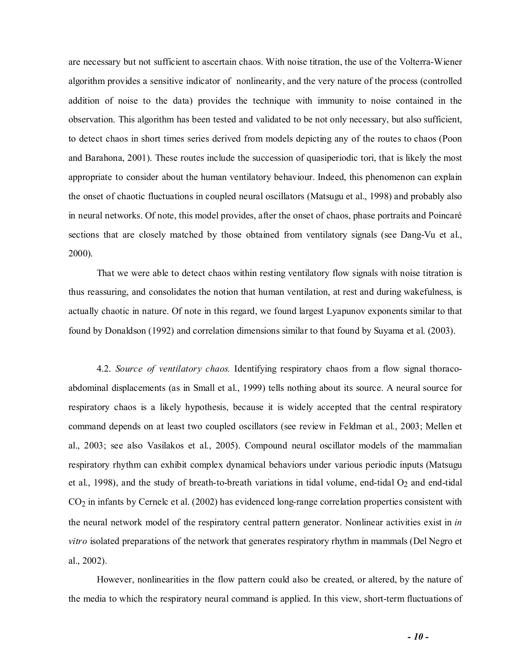are necessary but not sufficient to ascertain chaos. With noise titration, the use of the Volterra-Wiener algorithm provides a sensitive indicator of nonlinearity, and the very nature of the process (controlled addition of noise to the data) provides the technique with immunity to noise contained in the observation. This algorithm has been tested and validated to be not only necessary, but also sufficient, to detect chaos in short times series derived from models depicting any of the routes to chaos (Poon and Barahona, 2001). These routes include the succession of quasiperiodic tori, that is likely the most appropriate to consider about the human ventilatory behaviour. Indeed, this phenomenon can explain the onset of chaotic fluctuations in coupled neural oscillators (Matsugu et al., 1998) and probably also in neural networks. Of note, this model provides, after the onset of chaos, phase portraits and Poincaré sections that are closely matched by those obtained from ventilatory signals (see Dang-Vu et al., 2000).

 That we were able to detect chaos within resting ventilatory flow signals with noise titration is thus reassuring, and consolidates the notion that human ventilation, at rest and during wakefulness, is actually chaotic in nature. Of note in this regard, we found largest Lyapunov exponents similar to that found by Donaldson (1992) and correlation dimensions similar to that found by Suyama et al. (2003).

 4.2. *Source of ventilatory chaos.* Identifying respiratory chaos from a flow signal thoracoabdominal displacements (as in Small et al., 1999) tells nothing about its source. A neural source for respiratory chaos is a likely hypothesis, because it is widely accepted that the central respiratory command depends on at least two coupled oscillators (see review in Feldman et al., 2003; Mellen et al., 2003; see also Vasilakos et al., 2005). Compound neural oscillator models of the mammalian respiratory rhythm can exhibit complex dynamical behaviors under various periodic inputs (Matsugu et al., 1998), and the study of breath-to-breath variations in tidal volume, end-tidal O<sub>2</sub> and end-tidal CO2 in infants by Cernelc et al. (2002) has evidenced long-range correlation properties consistent with the neural network model of the respiratory central pattern generator. Nonlinear activities exist in *in vitro* isolated preparations of the network that generates respiratory rhythm in mammals (Del Negro et al., 2002).

 However, nonlinearities in the flow pattern could also be created, or altered, by the nature of the media to which the respiratory neural command is applied. In this view, short-term fluctuations of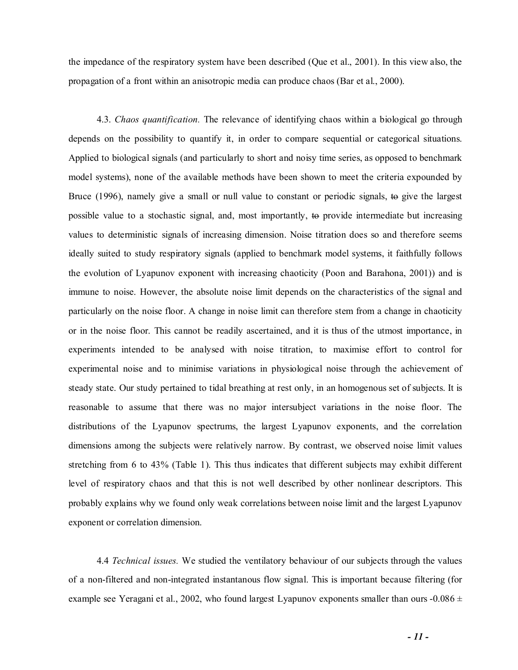the impedance of the respiratory system have been described (Que et al., 2001). In this view also, the propagation of a front within an anisotropic media can produce chaos (Bar et al., 2000).

 4.3. *Chaos quantification.* The relevance of identifying chaos within a biological go through depends on the possibility to quantify it, in order to compare sequential or categorical situations. Applied to biological signals (and particularly to short and noisy time series, as opposed to benchmark model systems), none of the available methods have been shown to meet the criteria expounded by Bruce (1996), namely give a small or null value to constant or periodic signals, to give the largest possible value to a stochastic signal, and, most importantly, to provide intermediate but increasing values to deterministic signals of increasing dimension. Noise titration does so and therefore seems ideally suited to study respiratory signals (applied to benchmark model systems, it faithfully follows the evolution of Lyapunov exponent with increasing chaoticity (Poon and Barahona, 2001)) and is immune to noise. However, the absolute noise limit depends on the characteristics of the signal and particularly on the noise floor. A change in noise limit can therefore stem from a change in chaoticity or in the noise floor. This cannot be readily ascertained, and it is thus of the utmost importance, in experiments intended to be analysed with noise titration, to maximise effort to control for experimental noise and to minimise variations in physiological noise through the achievement of steady state. Our study pertained to tidal breathing at rest only, in an homogenous set of subjects. It is reasonable to assume that there was no major intersubject variations in the noise floor. The distributions of the Lyapunov spectrums, the largest Lyapunov exponents, and the correlation dimensions among the subjects were relatively narrow. By contrast, we observed noise limit values stretching from 6 to 43% (Table 1). This thus indicates that different subjects may exhibit different level of respiratory chaos and that this is not well described by other nonlinear descriptors. This probably explains why we found only weak correlations between noise limit and the largest Lyapunov exponent or correlation dimension.

 4.4 *Technical issues.* We studied the ventilatory behaviour of our subjects through the values of a non-filtered and non-integrated instantanous flow signal. This is important because filtering (for example see Yeragani et al., 2002, who found largest Lyapunov exponents smaller than ours  $-0.086 \pm 0.086$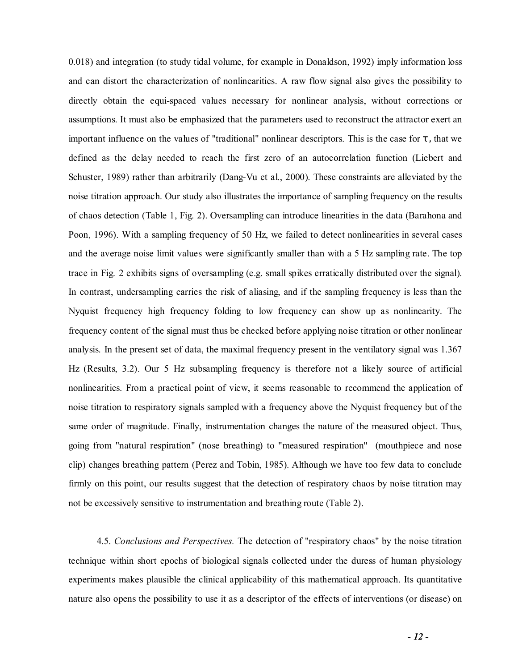0.018) and integration (to study tidal volume, for example in Donaldson, 1992) imply information loss and can distort the characterization of nonlinearities. A raw flow signal also gives the possibility to directly obtain the equi-spaced values necessary for nonlinear analysis, without corrections or assumptions. It must also be emphasized that the parameters used to reconstruct the attractor exert an important influence on the values of "traditional" nonlinear descriptors. This is the case for  $\tau$ , that we defined as the delay needed to reach the first zero of an autocorrelation function (Liebert and Schuster, 1989) rather than arbitrarily (Dang-Vu et al., 2000). These constraints are alleviated by the noise titration approach. Our study also illustrates the importance of sampling frequency on the results of chaos detection (Table 1, Fig. 2). Oversampling can introduce linearities in the data (Barahona and Poon, 1996). With a sampling frequency of 50 Hz, we failed to detect nonlinearities in several cases and the average noise limit values were significantly smaller than with a 5 Hz sampling rate. The top trace in Fig. 2 exhibits signs of oversampling (e.g. small spikes erratically distributed over the signal). In contrast, undersampling carries the risk of aliasing, and if the sampling frequency is less than the Nyquist frequency high frequency folding to low frequency can show up as nonlinearity. The frequency content of the signal must thus be checked before applying noise titration or other nonlinear analysis. In the present set of data, the maximal frequency present in the ventilatory signal was 1.367 Hz (Results, 3.2). Our 5 Hz subsampling frequency is therefore not a likely source of artificial nonlinearities. From a practical point of view, it seems reasonable to recommend the application of noise titration to respiratory signals sampled with a frequency above the Nyquist frequency but of the same order of magnitude. Finally, instrumentation changes the nature of the measured object. Thus, going from "natural respiration" (nose breathing) to "measured respiration" (mouthpiece and nose clip) changes breathing pattern (Perez and Tobin, 1985). Although we have too few data to conclude firmly on this point, our results suggest that the detection of respiratory chaos by noise titration may not be excessively sensitive to instrumentation and breathing route (Table 2).

 4.5. *Conclusions and Perspectives.* The detection of "respiratory chaos" by the noise titration technique within short epochs of biological signals collected under the duress of human physiology experiments makes plausible the clinical applicability of this mathematical approach. Its quantitative nature also opens the possibility to use it as a descriptor of the effects of interventions (or disease) on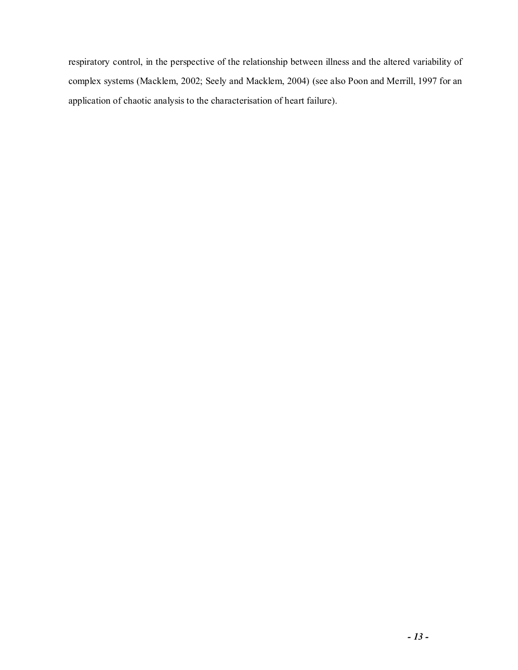respiratory control, in the perspective of the relationship between illness and the altered variability of complex systems (Macklem, 2002; Seely and Macklem, 2004) (see also Poon and Merrill, 1997 for an application of chaotic analysis to the characterisation of heart failure).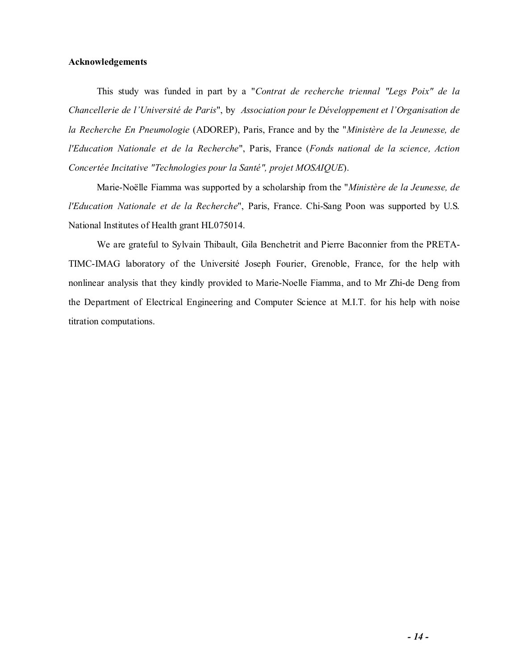### **Acknowledgements**

 This study was funded in part by a "*Contrat de recherche triennal "Legs Poix" de la Chancellerie de l'Université de Paris*", by *Association pour le Développement et l'Organisation de la Recherche En Pneumologie* (ADOREP), Paris, France and by the "*Ministère de la Jeunesse, de l'Education Nationale et de la Recherche*", Paris, France (*Fonds national de la science, Action Concertée Incitative "Technologies pour la Santé", projet MOSAIQUE*).

Marie-Noëlle Fiamma was supported by a scholarship from the "*Ministère de la Jeunesse, de l'Education Nationale et de la Recherche*", Paris, France. Chi-Sang Poon was supported by U.S. National Institutes of Health grant HL075014.

 We are grateful to Sylvain Thibault, Gila Benchetrit and Pierre Baconnier from the PRETA-TIMC-IMAG laboratory of the Université Joseph Fourier, Grenoble, France, for the help with nonlinear analysis that they kindly provided to Marie-Noelle Fiamma, and to Mr Zhi-de Deng from the Department of Electrical Engineering and Computer Science at M.I.T. for his help with noise titration computations.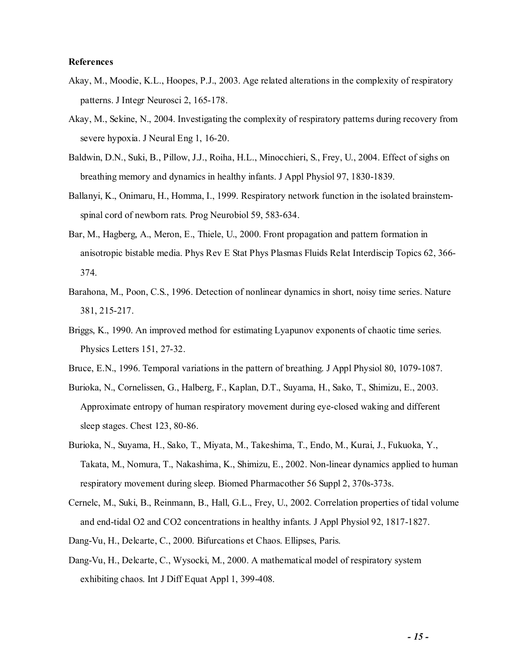### **References**

- Akay, M., Moodie, K.L., Hoopes, P.J., 2003. Age related alterations in the complexity of respiratory patterns. J Integr Neurosci 2, 165-178.
- Akay, M., Sekine, N., 2004. Investigating the complexity of respiratory patterns during recovery from severe hypoxia. J Neural Eng 1, 16-20.
- Baldwin, D.N., Suki, B., Pillow, J.J., Roiha, H.L., Minocchieri, S., Frey, U., 2004. Effect of sighs on breathing memory and dynamics in healthy infants. J Appl Physiol 97, 1830-1839.
- Ballanyi, K., Onimaru, H., Homma, I., 1999. Respiratory network function in the isolated brainstemspinal cord of newborn rats. Prog Neurobiol 59, 583-634.
- Bar, M., Hagberg, A., Meron, E., Thiele, U., 2000. Front propagation and pattern formation in anisotropic bistable media. Phys Rev E Stat Phys Plasmas Fluids Relat Interdiscip Topics 62, 366- 374.
- Barahona, M., Poon, C.S., 1996. Detection of nonlinear dynamics in short, noisy time series. Nature 381, 215-217.
- Briggs, K., 1990. An improved method for estimating Lyapunov exponents of chaotic time series. Physics Letters 151, 27-32.
- Bruce, E.N., 1996. Temporal variations in the pattern of breathing. J Appl Physiol 80, 1079-1087.
- Burioka, N., Cornelissen, G., Halberg, F., Kaplan, D.T., Suyama, H., Sako, T., Shimizu, E., 2003. Approximate entropy of human respiratory movement during eye-closed waking and different sleep stages. Chest 123, 80-86.
- Burioka, N., Suyama, H., Sako, T., Miyata, M., Takeshima, T., Endo, M., Kurai, J., Fukuoka, Y., Takata, M., Nomura, T., Nakashima, K., Shimizu, E., 2002. Non-linear dynamics applied to human respiratory movement during sleep. Biomed Pharmacother 56 Suppl 2, 370s-373s.
- Cernelc, M., Suki, B., Reinmann, B., Hall, G.L., Frey, U., 2002. Correlation properties of tidal volume and end-tidal O2 and CO2 concentrations in healthy infants. J Appl Physiol 92, 1817-1827.
- Dang-Vu, H., Delcarte, C., 2000. Bifurcations et Chaos. Ellipses, Paris.
- Dang-Vu, H., Delcarte, C., Wysocki, M., 2000. A mathematical model of respiratory system exhibiting chaos. Int J Diff Equat Appl 1, 399-408.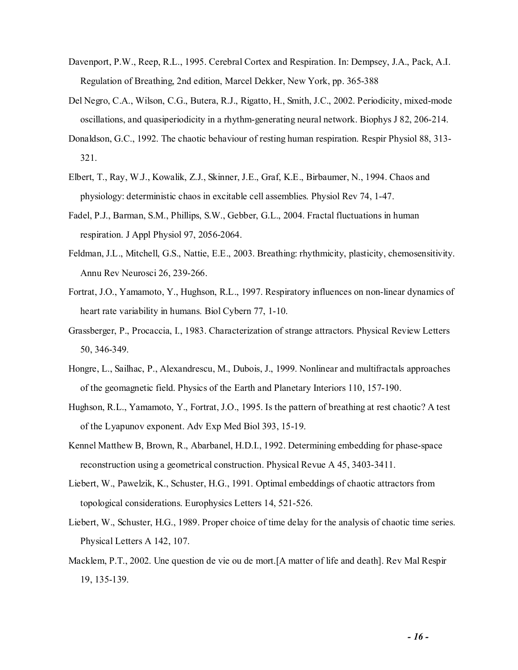- Davenport, P.W., Reep, R.L., 1995. Cerebral Cortex and Respiration. In: Dempsey, J.A., Pack, A.I. Regulation of Breathing, 2nd edition, Marcel Dekker, New York, pp. 365-388
- Del Negro, C.A., Wilson, C.G., Butera, R.J., Rigatto, H., Smith, J.C., 2002. Periodicity, mixed-mode oscillations, and quasiperiodicity in a rhythm-generating neural network. Biophys J 82, 206-214.
- Donaldson, G.C., 1992. The chaotic behaviour of resting human respiration. Respir Physiol 88, 313- 321.
- Elbert, T., Ray, W.J., Kowalik, Z.J., Skinner, J.E., Graf, K.E., Birbaumer, N., 1994. Chaos and physiology: deterministic chaos in excitable cell assemblies. Physiol Rev 74, 1-47.
- Fadel, P.J., Barman, S.M., Phillips, S.W., Gebber, G.L., 2004. Fractal fluctuations in human respiration. J Appl Physiol 97, 2056-2064.
- Feldman, J.L., Mitchell, G.S., Nattie, E.E., 2003. Breathing: rhythmicity, plasticity, chemosensitivity. Annu Rev Neurosci 26, 239-266.
- Fortrat, J.O., Yamamoto, Y., Hughson, R.L., 1997. Respiratory influences on non-linear dynamics of heart rate variability in humans. Biol Cybern 77, 1-10.
- Grassberger, P., Procaccia, I., 1983. Characterization of strange attractors. Physical Review Letters 50, 346-349.
- Hongre, L., Sailhac, P., Alexandrescu, M., Dubois, J., 1999. Nonlinear and multifractals approaches of the geomagnetic field. Physics of the Earth and Planetary Interiors 110, 157-190.
- Hughson, R.L., Yamamoto, Y., Fortrat, J.O., 1995. Is the pattern of breathing at rest chaotic? A test of the Lyapunov exponent. Adv Exp Med Biol 393, 15-19.
- Kennel Matthew B, Brown, R., Abarbanel, H.D.I., 1992. Determining embedding for phase-space reconstruction using a geometrical construction. Physical Revue A 45, 3403-3411.
- Liebert, W., Pawelzik, K., Schuster, H.G., 1991. Optimal embeddings of chaotic attractors from topological considerations. Europhysics Letters 14, 521-526.
- Liebert, W., Schuster, H.G., 1989. Proper choice of time delay for the analysis of chaotic time series. Physical Letters A 142, 107.
- Macklem, P.T., 2002. Une question de vie ou de mort.[A matter of life and death]. Rev Mal Respir 19, 135-139.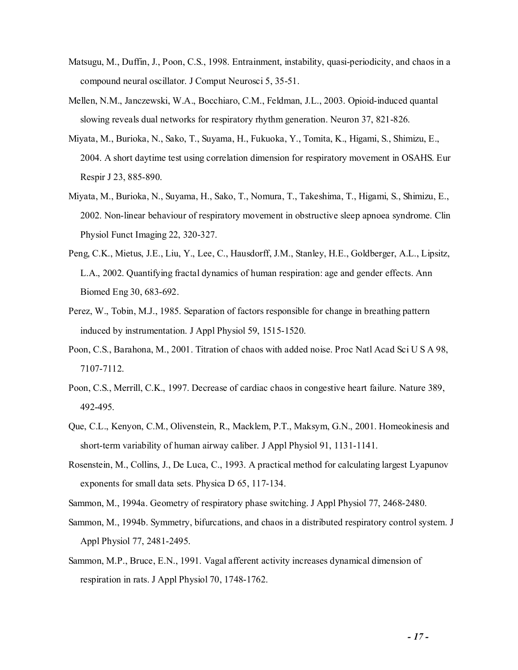- Matsugu, M., Duffin, J., Poon, C.S., 1998. Entrainment, instability, quasi-periodicity, and chaos in a compound neural oscillator. J Comput Neurosci 5, 35-51.
- Mellen, N.M., Janczewski, W.A., Bocchiaro, C.M., Feldman, J.L., 2003. Opioid-induced quantal slowing reveals dual networks for respiratory rhythm generation. Neuron 37, 821-826.
- Miyata, M., Burioka, N., Sako, T., Suyama, H., Fukuoka, Y., Tomita, K., Higami, S., Shimizu, E., 2004. A short daytime test using correlation dimension for respiratory movement in OSAHS. Eur Respir J 23, 885-890.
- Miyata, M., Burioka, N., Suyama, H., Sako, T., Nomura, T., Takeshima, T., Higami, S., Shimizu, E., 2002. Non-linear behaviour of respiratory movement in obstructive sleep apnoea syndrome. Clin Physiol Funct Imaging 22, 320-327.
- Peng, C.K., Mietus, J.E., Liu, Y., Lee, C., Hausdorff, J.M., Stanley, H.E., Goldberger, A.L., Lipsitz, L.A., 2002. Quantifying fractal dynamics of human respiration: age and gender effects. Ann Biomed Eng 30, 683-692.
- Perez, W., Tobin, M.J., 1985. Separation of factors responsible for change in breathing pattern induced by instrumentation. J Appl Physiol 59, 1515-1520.
- Poon, C.S., Barahona, M., 2001. Titration of chaos with added noise. Proc Natl Acad Sci U S A 98, 7107-7112.
- Poon, C.S., Merrill, C.K., 1997. Decrease of cardiac chaos in congestive heart failure. Nature 389, 492-495.
- Que, C.L., Kenyon, C.M., Olivenstein, R., Macklem, P.T., Maksym, G.N., 2001. Homeokinesis and short-term variability of human airway caliber. J Appl Physiol 91, 1131-1141.
- Rosenstein, M., Collins, J., De Luca, C., 1993. A practical method for calculating largest Lyapunov exponents for small data sets. Physica D 65, 117-134.
- Sammon, M., 1994a. Geometry of respiratory phase switching. J Appl Physiol 77, 2468-2480.
- Sammon, M., 1994b. Symmetry, bifurcations, and chaos in a distributed respiratory control system. J Appl Physiol 77, 2481-2495.
- Sammon, M.P., Bruce, E.N., 1991. Vagal afferent activity increases dynamical dimension of respiration in rats. J Appl Physiol 70, 1748-1762.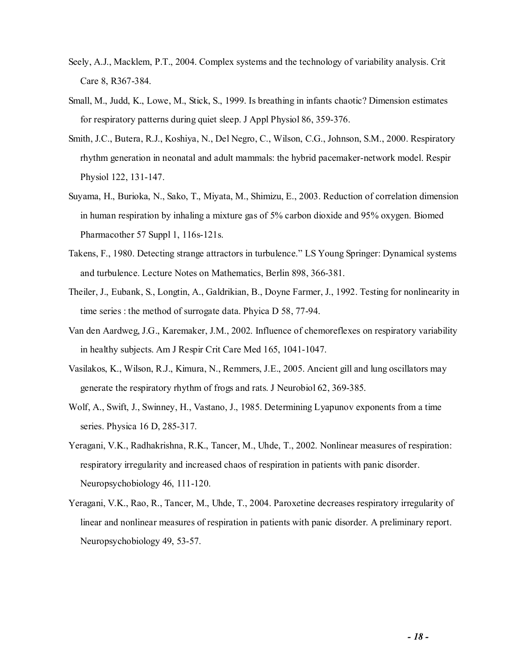- Seely, A.J., Macklem, P.T., 2004. Complex systems and the technology of variability analysis. Crit Care 8, R367-384.
- Small, M., Judd, K., Lowe, M., Stick, S., 1999. Is breathing in infants chaotic? Dimension estimates for respiratory patterns during quiet sleep. J Appl Physiol 86, 359-376.
- Smith, J.C., Butera, R.J., Koshiya, N., Del Negro, C., Wilson, C.G., Johnson, S.M., 2000. Respiratory rhythm generation in neonatal and adult mammals: the hybrid pacemaker-network model. Respir Physiol 122, 131-147.
- Suyama, H., Burioka, N., Sako, T., Miyata, M., Shimizu, E., 2003. Reduction of correlation dimension in human respiration by inhaling a mixture gas of 5% carbon dioxide and 95% oxygen. Biomed Pharmacother 57 Suppl 1, 116s-121s.
- Takens, F., 1980. Detecting strange attractors in turbulence." LS Young Springer: Dynamical systems and turbulence. Lecture Notes on Mathematics, Berlin 898, 366-381.
- Theiler, J., Eubank, S., Longtin, A., Galdrikian, B., Doyne Farmer, J., 1992. Testing for nonlinearity in time series : the method of surrogate data. Phyica D 58, 77-94.
- Van den Aardweg, J.G., Karemaker, J.M., 2002. Influence of chemoreflexes on respiratory variability in healthy subjects. Am J Respir Crit Care Med 165, 1041-1047.
- Vasilakos, K., Wilson, R.J., Kimura, N., Remmers, J.E., 2005. Ancient gill and lung oscillators may generate the respiratory rhythm of frogs and rats. J Neurobiol 62, 369-385.
- Wolf, A., Swift, J., Swinney, H., Vastano, J., 1985. Determining Lyapunov exponents from a time series. Physica 16 D, 285-317.
- Yeragani, V.K., Radhakrishna, R.K., Tancer, M., Uhde, T., 2002. Nonlinear measures of respiration: respiratory irregularity and increased chaos of respiration in patients with panic disorder. Neuropsychobiology 46, 111-120.
- Yeragani, V.K., Rao, R., Tancer, M., Uhde, T., 2004. Paroxetine decreases respiratory irregularity of linear and nonlinear measures of respiration in patients with panic disorder. A preliminary report. Neuropsychobiology 49, 53-57.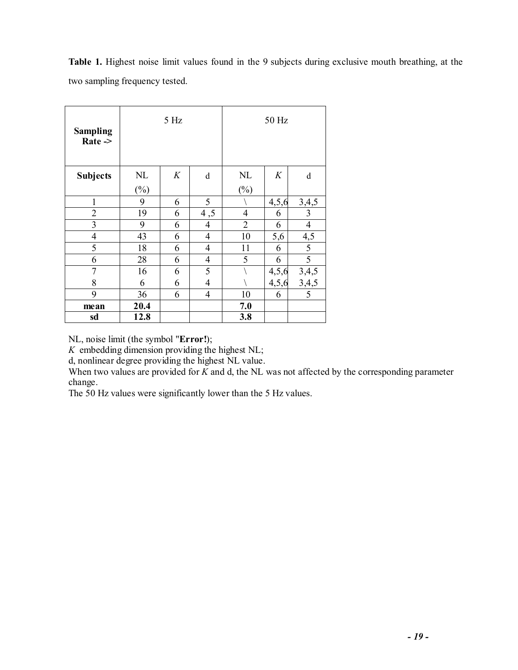**Table 1.** Highest noise limit values found in the 9 subjects during exclusive mouth breathing, at the two sampling frequency tested.

| <b>Sampling</b><br>$Rate -$ | $5\ \mathrm{Hz}$ |   |                | 50 Hz          |       |                   |  |
|-----------------------------|------------------|---|----------------|----------------|-------|-------------------|--|
| <b>Subjects</b>             | NL               | K | $\mathbf d$    | $\mathbf{NL}$  | K     | d                 |  |
|                             | $(\%)$           |   |                | $(\%)$         |       |                   |  |
| $\mathbf 1$                 | 9                | 6 | 5              |                | 4,5,6 |                   |  |
| $\overline{c}$              | 19               | 6 | 4,5            | $\overline{4}$ | 6     | $\frac{3,4,5}{3}$ |  |
| $\overline{3}$              | 9                | 6 | 4              | $\overline{2}$ | 6     | $\overline{4}$    |  |
| $\overline{4}$              | 43               | 6 | $\overline{4}$ | 10             | 5,6   |                   |  |
| $\overline{5}$              | 18               | 6 | $\overline{4}$ | 11             | 6     | $\frac{4,5}{5}$   |  |
| 6                           | 28               | 6 | $\overline{4}$ | 5              | 6     | 5                 |  |
| $\overline{7}$              | 16               | 6 | 5              |                | 4,5,6 | 3,4,5             |  |
| 8                           | 6                | 6 | $\overline{4}$ |                | 4,5,6 | 3,4,5             |  |
| 9                           | 36               | 6 | $\overline{4}$ | 10             | 6     | 5                 |  |
| mean                        | 20.4             |   |                | 7.0            |       |                   |  |
| sd                          | 12.8             |   |                | 3.8            |       |                   |  |

NL, noise limit (the symbol "**Error!**);

*K* embedding dimension providing the highest NL;

d, nonlinear degree providing the highest NL value.

When two values are provided for *K* and d, the NL was not affected by the corresponding parameter change.

The 50 Hz values were significantly lower than the 5 Hz values.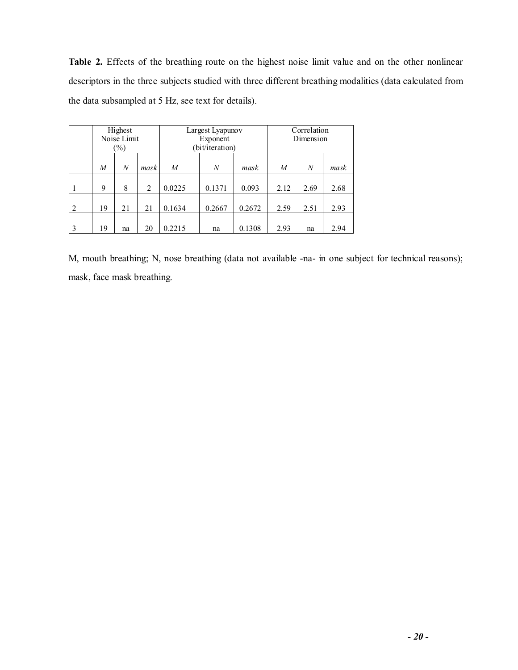**Table 2.** Effects of the breathing route on the highest noise limit value and on the other nonlinear descriptors in the three subjects studied with three different breathing modalities (data calculated from the data subsampled at 5 Hz, see text for details).

|   | Highest<br>Noise Limit<br>$(\%)$ |    | Largest Lyapunov<br>Exponent<br>bit/iteration) |                  |        | Correlation<br>Dimension |      |      |      |  |  |  |
|---|----------------------------------|----|------------------------------------------------|------------------|--------|--------------------------|------|------|------|--|--|--|
|   | M                                | N  | mask                                           | $\boldsymbol{M}$ | N      | mask                     | M    | N    | mask |  |  |  |
|   | 9                                | 8  | $\overline{2}$                                 | 0.0225           | 0.1371 | 0.093                    | 2.12 | 2.69 | 2.68 |  |  |  |
| 2 | 19                               | 21 | 21                                             | 0.1634           | 0.2667 | 0.2672                   | 2.59 | 2.51 | 2.93 |  |  |  |
| 3 | 19                               | na | 20                                             | 0.2215           | na     | 0.1308                   | 2.93 | na   | 2.94 |  |  |  |

M, mouth breathing; N, nose breathing (data not available -na- in one subject for technical reasons); mask, face mask breathing.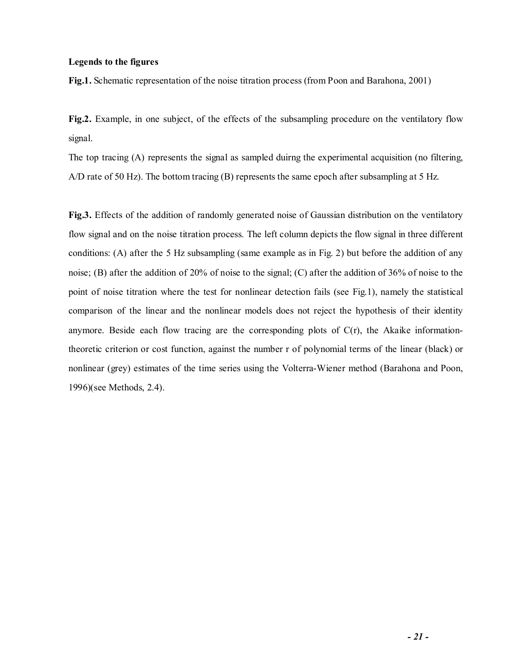# **Legends to the figures**

**Fig.1.** Schematic representation of the noise titration process (from Poon and Barahona, 2001)

**Fig.2.** Example, in one subject, of the effects of the subsampling procedure on the ventilatory flow signal.

The top tracing (A) represents the signal as sampled duirng the experimental acquisition (no filtering, A/D rate of 50 Hz). The bottom tracing (B) represents the same epoch after subsampling at 5 Hz.

**Fig.3.** Effects of the addition of randomly generated noise of Gaussian distribution on the ventilatory flow signal and on the noise titration process. The left column depicts the flow signal in three different conditions: (A) after the 5 Hz subsampling (same example as in Fig. 2) but before the addition of any noise; (B) after the addition of 20% of noise to the signal; (C) after the addition of 36% of noise to the point of noise titration where the test for nonlinear detection fails (see Fig.1), namely the statistical comparison of the linear and the nonlinear models does not reject the hypothesis of their identity anymore. Beside each flow tracing are the corresponding plots of  $C(r)$ , the Akaike informationtheoretic criterion or cost function, against the number r of polynomial terms of the linear (black) or nonlinear (grey) estimates of the time series using the Volterra-Wiener method (Barahona and Poon, 1996)(see Methods, 2.4).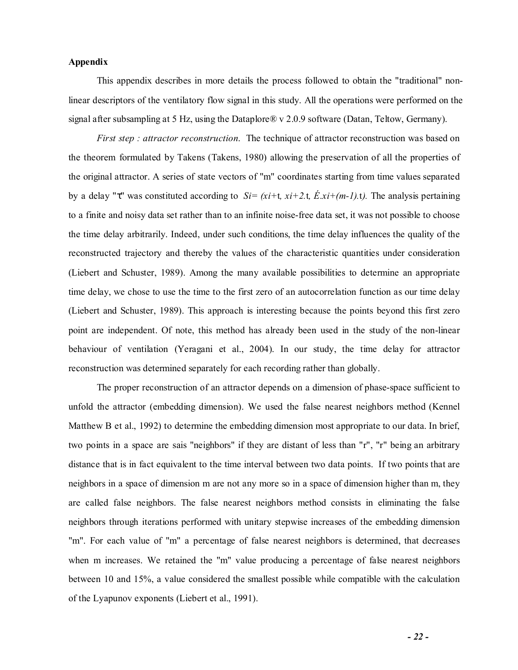## **Appendix**

 This appendix describes in more details the process followed to obtain the "traditional" nonlinear descriptors of the ventilatory flow signal in this study. All the operations were performed on the signal after subsampling at 5 Hz, using the Dataplore® v 2.0.9 software (Datan, Teltow, Germany).

*First step : attractor reconstruction*. The technique of attractor reconstruction was based on the theorem formulated by Takens (Takens, 1980) allowing the preservation of all the properties of the original attractor. A series of state vectors of "m" coordinates starting from time values separated by a delay "τ" was constituted according to *Si= (xi+*t*, xi+2.*t*, É.xi+(m-1).*t*).* The analysis pertaining to a finite and noisy data set rather than to an infinite noise-free data set, it was not possible to choose the time delay arbitrarily. Indeed, under such conditions, the time delay influences the quality of the reconstructed trajectory and thereby the values of the characteristic quantities under consideration (Liebert and Schuster, 1989). Among the many available possibilities to determine an appropriate time delay, we chose to use the time to the first zero of an autocorrelation function as our time delay (Liebert and Schuster, 1989). This approach is interesting because the points beyond this first zero point are independent. Of note, this method has already been used in the study of the non-linear behaviour of ventilation (Yeragani et al., 2004). In our study, the time delay for attractor reconstruction was determined separately for each recording rather than globally.

 The proper reconstruction of an attractor depends on a dimension of phase-space sufficient to unfold the attractor (embedding dimension). We used the false nearest neighbors method (Kennel Matthew B et al., 1992) to determine the embedding dimension most appropriate to our data. In brief, two points in a space are sais "neighbors" if they are distant of less than "r", "r" being an arbitrary distance that is in fact equivalent to the time interval between two data points. If two points that are neighbors in a space of dimension m are not any more so in a space of dimension higher than m, they are called false neighbors. The false nearest neighbors method consists in eliminating the false neighbors through iterations performed with unitary stepwise increases of the embedding dimension "m". For each value of "m" a percentage of false nearest neighbors is determined, that decreases when m increases. We retained the "m" value producing a percentage of false nearest neighbors between 10 and 15%, a value considered the smallest possible while compatible with the calculation of the Lyapunov exponents (Liebert et al., 1991).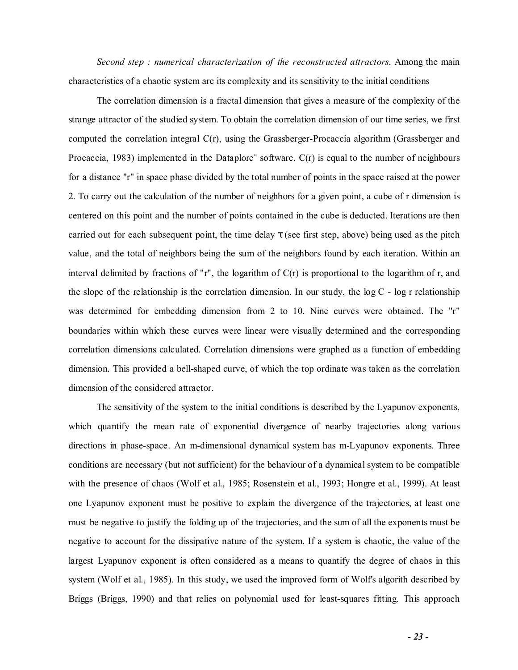*Second step : numerical characterization of the reconstructed attractors.* Among the main characteristics of a chaotic system are its complexity and its sensitivity to the initial conditions

 The correlation dimension is a fractal dimension that gives a measure of the complexity of the strange attractor of the studied system. To obtain the correlation dimension of our time series, we first computed the correlation integral C(r), using the Grassberger-Procaccia algorithm (Grassberger and Procaccia, 1983) implemented in the Dataplore¨ software. C(r) is equal to the number of neighbours for a distance "r" in space phase divided by the total number of points in the space raised at the power 2. To carry out the calculation of the number of neighbors for a given point, a cube of r dimension is centered on this point and the number of points contained in the cube is deducted. Iterations are then carried out for each subsequent point, the time delay  $\tau$  (see first step, above) being used as the pitch value, and the total of neighbors being the sum of the neighbors found by each iteration. Within an interval delimited by fractions of "r", the logarithm of  $C(r)$  is proportional to the logarithm of r, and the slope of the relationship is the correlation dimension. In our study, the  $log C - log r$  relationship was determined for embedding dimension from 2 to 10. Nine curves were obtained. The "r" boundaries within which these curves were linear were visually determined and the corresponding correlation dimensions calculated. Correlation dimensions were graphed as a function of embedding dimension. This provided a bell-shaped curve, of which the top ordinate was taken as the correlation dimension of the considered attractor.

 The sensitivity of the system to the initial conditions is described by the Lyapunov exponents, which quantify the mean rate of exponential divergence of nearby trajectories along various directions in phase-space. An m-dimensional dynamical system has m-Lyapunov exponents. Three conditions are necessary (but not sufficient) for the behaviour of a dynamical system to be compatible with the presence of chaos (Wolf et al., 1985; Rosenstein et al., 1993; Hongre et al., 1999). At least one Lyapunov exponent must be positive to explain the divergence of the trajectories, at least one must be negative to justify the folding up of the trajectories, and the sum of all the exponents must be negative to account for the dissipative nature of the system. If a system is chaotic, the value of the largest Lyapunov exponent is often considered as a means to quantify the degree of chaos in this system (Wolf et al., 1985). In this study, we used the improved form of Wolf's algorith described by Briggs (Briggs, 1990) and that relies on polynomial used for least-squares fitting. This approach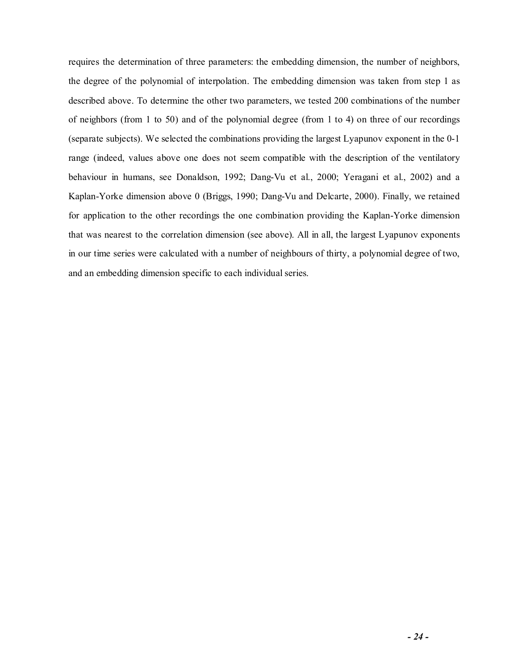requires the determination of three parameters: the embedding dimension, the number of neighbors, the degree of the polynomial of interpolation. The embedding dimension was taken from step 1 as described above. To determine the other two parameters, we tested 200 combinations of the number of neighbors (from 1 to 50) and of the polynomial degree (from 1 to 4) on three of our recordings (separate subjects). We selected the combinations providing the largest Lyapunov exponent in the 0-1 range (indeed, values above one does not seem compatible with the description of the ventilatory behaviour in humans, see Donaldson, 1992; Dang-Vu et al., 2000; Yeragani et al., 2002) and a Kaplan-Yorke dimension above 0 (Briggs, 1990; Dang-Vu and Delcarte, 2000). Finally, we retained for application to the other recordings the one combination providing the Kaplan-Yorke dimension that was nearest to the correlation dimension (see above). All in all, the largest Lyapunov exponents in our time series were calculated with a number of neighbours of thirty, a polynomial degree of two, and an embedding dimension specific to each individual series.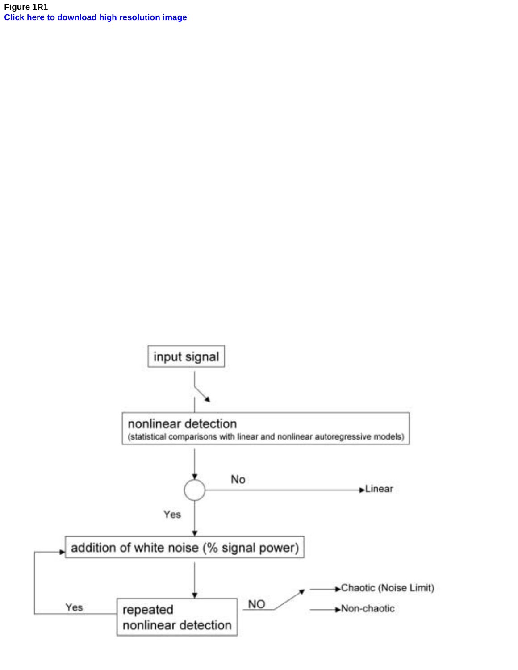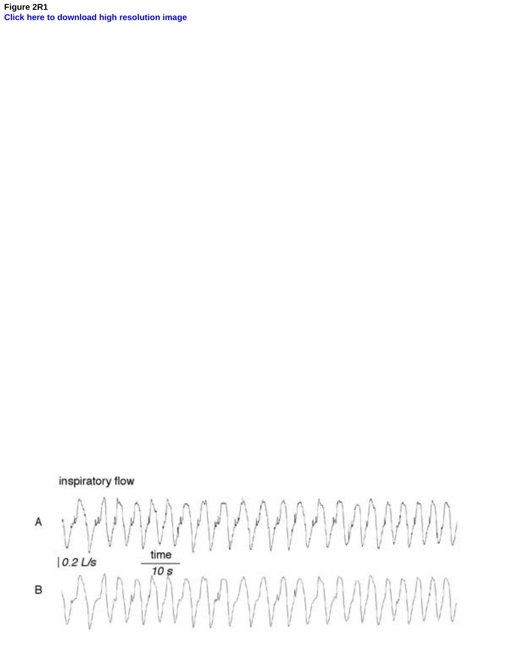**Figure 2R1 [Click here to download high resolution image](http://ees.elsevier.com/respnb/download.aspx?id=8352&guid=42e49d87-19aa-4196-be99-a26070e2f162&scheme=1)**